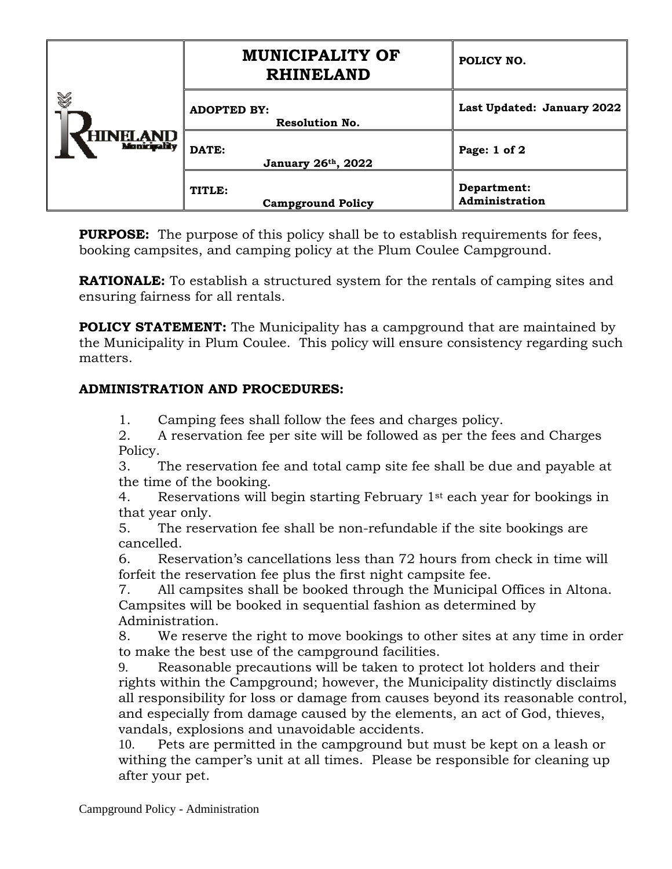| Y<br>HINELAND | <b>MUNICIPALITY OF</b><br><b>RHINELAND</b>  | POLICY NO.                    |
|---------------|---------------------------------------------|-------------------------------|
|               | <b>ADOPTED BY:</b><br><b>Resolution No.</b> | Last Updated: January 2022    |
|               | DATE:<br>January 26th, 2022                 | Page: 1 of 2                  |
|               | TITLE:<br><b>Campground Policy</b>          | Department:<br>Administration |

**PURPOSE:** The purpose of this policy shall be to establish requirements for fees, booking campsites, and camping policy at the Plum Coulee Campground.

**RATIONALE:** To establish a structured system for the rentals of camping sites and ensuring fairness for all rentals.

**POLICY STATEMENT:** The Municipality has a campground that are maintained by the Municipality in Plum Coulee. This policy will ensure consistency regarding such matters.

## **ADMINISTRATION AND PROCEDURES:**

1. Camping fees shall follow the fees and charges policy.

2. A reservation fee per site will be followed as per the fees and Charges Policy.

3. The reservation fee and total camp site fee shall be due and payable at the time of the booking.

4. Reservations will begin starting February 1st each year for bookings in that year only.

5. The reservation fee shall be non-refundable if the site bookings are cancelled.

6. Reservation's cancellations less than 72 hours from check in time will forfeit the reservation fee plus the first night campsite fee.

7. All campsites shall be booked through the Municipal Offices in Altona. Campsites will be booked in sequential fashion as determined by Administration.

8. We reserve the right to move bookings to other sites at any time in order to make the best use of the campground facilities.

9. Reasonable precautions will be taken to protect lot holders and their rights within the Campground; however, the Municipality distinctly disclaims all responsibility for loss or damage from causes beyond its reasonable control, and especially from damage caused by the elements, an act of God, thieves, vandals, explosions and unavoidable accidents.

10. Pets are permitted in the campground but must be kept on a leash or withing the camper's unit at all times. Please be responsible for cleaning up after your pet.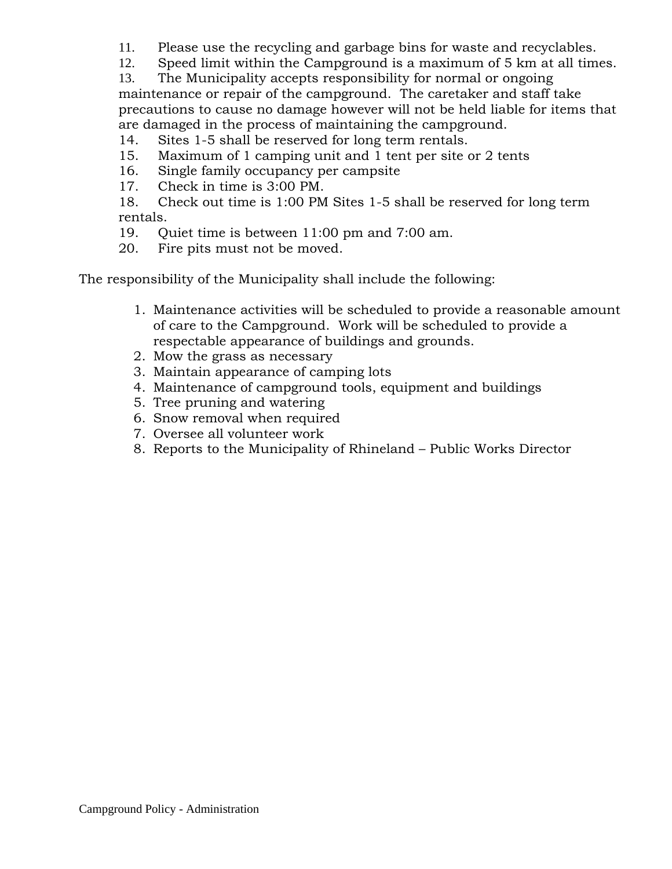11. Please use the recycling and garbage bins for waste and recyclables.

12. Speed limit within the Campground is a maximum of 5 km at all times.

13. The Municipality accepts responsibility for normal or ongoing maintenance or repair of the campground. The caretaker and staff take precautions to cause no damage however will not be held liable for items that are damaged in the process of maintaining the campground.

14. Sites 1-5 shall be reserved for long term rentals.

- 15. Maximum of 1 camping unit and 1 tent per site or 2 tents
- 16. Single family occupancy per campsite
- 17. Check in time is 3:00 PM.

18. Check out time is 1:00 PM Sites 1-5 shall be reserved for long term rentals.

19. Quiet time is between 11:00 pm and 7:00 am.

20. Fire pits must not be moved.

The responsibility of the Municipality shall include the following:

- 1. Maintenance activities will be scheduled to provide a reasonable amount of care to the Campground. Work will be scheduled to provide a respectable appearance of buildings and grounds.
- 2. Mow the grass as necessary
- 3. Maintain appearance of camping lots
- 4. Maintenance of campground tools, equipment and buildings
- 5. Tree pruning and watering
- 6. Snow removal when required
- 7. Oversee all volunteer work
- 8. Reports to the Municipality of Rhineland Public Works Director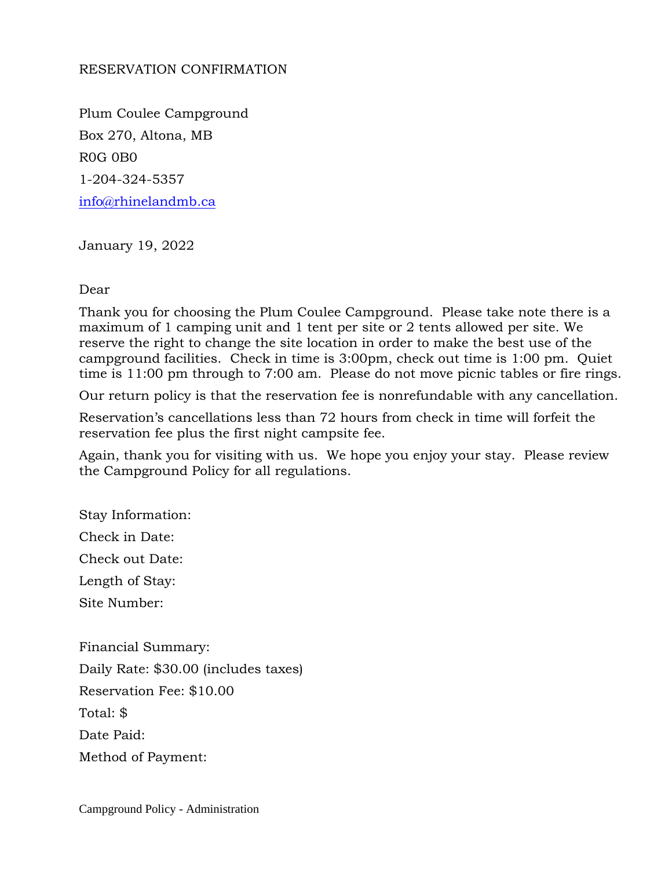## RESERVATION CONFIRMATION

Plum Coulee Campground Box 270, Altona, MB R0G 0B0 1-204-324-5357 [info@rhinelandmb.ca](mailto:info@rhinelandmb.ca)

January 19, 2022

## Dear

Thank you for choosing the Plum Coulee Campground. Please take note there is a maximum of 1 camping unit and 1 tent per site or 2 tents allowed per site. We reserve the right to change the site location in order to make the best use of the campground facilities. Check in time is 3:00pm, check out time is 1:00 pm. Quiet time is 11:00 pm through to 7:00 am. Please do not move picnic tables or fire rings.

Our return policy is that the reservation fee is nonrefundable with any cancellation.

Reservation's cancellations less than 72 hours from check in time will forfeit the reservation fee plus the first night campsite fee.

Again, thank you for visiting with us. We hope you enjoy your stay. Please review the Campground Policy for all regulations.

Stay Information:

Check in Date:

Check out Date:

Length of Stay:

Site Number:

Financial Summary: Daily Rate: \$30.00 (includes taxes) Reservation Fee: \$10.00 Total: \$ Date Paid: Method of Payment:

Campground Policy - Administration